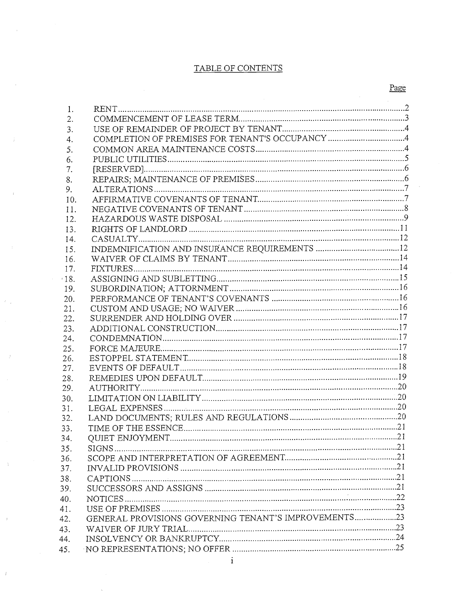## TABLE OF CONTENTS

| 1.         |                                                      |  |
|------------|------------------------------------------------------|--|
| 2.         |                                                      |  |
| 3.         |                                                      |  |
| 4.         |                                                      |  |
| 5.         |                                                      |  |
| 6.         |                                                      |  |
| 7.         |                                                      |  |
| 8.         |                                                      |  |
| 9.         |                                                      |  |
| 10.        |                                                      |  |
| 11.        |                                                      |  |
| 12.        |                                                      |  |
| 13.        |                                                      |  |
| 14.        |                                                      |  |
| 15.        |                                                      |  |
| 16.        |                                                      |  |
| 17.        |                                                      |  |
| 18.        |                                                      |  |
| 19.        |                                                      |  |
| 20.        |                                                      |  |
| 21.        |                                                      |  |
| 22.        |                                                      |  |
| 23.        |                                                      |  |
| 24.        |                                                      |  |
| 25.        |                                                      |  |
| 26.        |                                                      |  |
| 27.        |                                                      |  |
| 28.        |                                                      |  |
| 29.        |                                                      |  |
| 30.        |                                                      |  |
| 31.        |                                                      |  |
| 32.        |                                                      |  |
| 33.        | <b>OUIET ENJOYMENT</b>                               |  |
| 34.        |                                                      |  |
| 35.        |                                                      |  |
| 36.<br>37. |                                                      |  |
|            |                                                      |  |
| 38.        |                                                      |  |
| 39.        |                                                      |  |
| 40.        |                                                      |  |
| 41.        | GENERAL PROVISIONS GOVERNING TENANT'S IMPROVEMENTS23 |  |
| 42.        |                                                      |  |
| 43.        |                                                      |  |
| 44.        |                                                      |  |
| 45.        |                                                      |  |

 $\mathcal{F}_{\text{max}}$ 

 $\bar{f}$ 

 $\Delta$ 

 $\cdot$  :

 $\bar{I}$